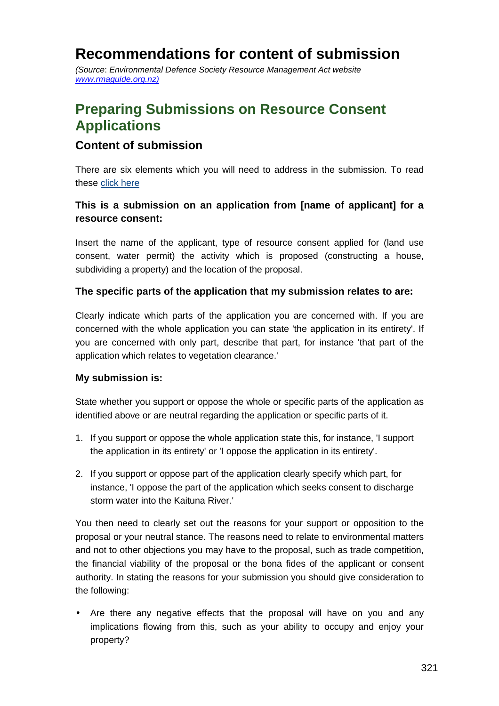# **Recommendations for content of submission**

(Source: Environmental Defence Society Resource Management Act website www.rmaguide.org.nz)

# **Preparing Submissions on Resource Consent Applications**

# **Content of submission**

There are six elements which you will need to address in the submission. To read these click here

## **This is a submission on an application from [name of applicant] for a resource consent:**

Insert the name of the applicant, type of resource consent applied for (land use consent, water permit) the activity which is proposed (constructing a house, subdividing a property) and the location of the proposal.

#### **The specific parts of the application that my submission relates to are:**

Clearly indicate which parts of the application you are concerned with. If you are concerned with the whole application you can state 'the application in its entirety'. If you are concerned with only part, describe that part, for instance 'that part of the application which relates to vegetation clearance.'

#### **My submission is:**

State whether you support or oppose the whole or specific parts of the application as identified above or are neutral regarding the application or specific parts of it.

- 1. If you support or oppose the whole application state this, for instance, 'I support the application in its entirety' or 'I oppose the application in its entirety'.
- 2. If you support or oppose part of the application clearly specify which part, for instance, 'I oppose the part of the application which seeks consent to discharge storm water into the Kaituna River.'

You then need to clearly set out the reasons for your support or opposition to the proposal or your neutral stance. The reasons need to relate to environmental matters and not to other objections you may have to the proposal, such as trade competition, the financial viability of the proposal or the bona fides of the applicant or consent authority. In stating the reasons for your submission you should give consideration to the following:

• Are there any negative effects that the proposal will have on you and any implications flowing from this, such as your ability to occupy and enjoy your property?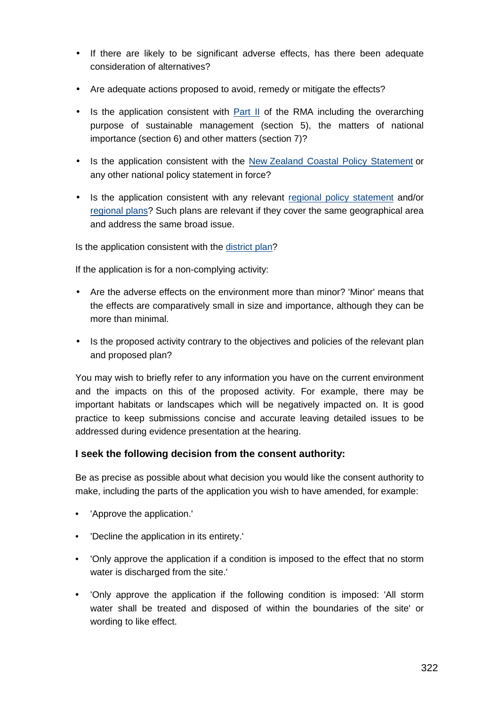- If there are likely to be significant adverse effects, has there been adequate consideration of alternatives?
- Are adequate actions proposed to avoid, remedy or mitigate the effects?
- Is the application consistent with Part II of the RMA including the overarching purpose of sustainable management (section 5), the matters of national importance (section 6) and other matters (section 7)?
- Is the application consistent with the New Zealand Coastal Policy Statement or any other national policy statement in force?
- Is the application consistent with any relevant regional policy statement and/or regional plans? Such plans are relevant if they cover the same geographical area and address the same broad issue.

Is the application consistent with the district plan?

If the application is for a non-complying activity:

- Are the adverse effects on the environment more than minor? 'Minor' means that the effects are comparatively small in size and importance, although they can be more than minimal.
- Is the proposed activity contrary to the objectives and policies of the relevant plan and proposed plan?

You may wish to briefly refer to any information you have on the current environment and the impacts on this of the proposed activity. For example, there may be important habitats or landscapes which will be negatively impacted on. It is good practice to keep submissions concise and accurate leaving detailed issues to be addressed during evidence presentation at the hearing.

### **I seek the following decision from the consent authority:**

Be as precise as possible about what decision you would like the consent authority to make, including the parts of the application you wish to have amended, for example:

- 'Approve the application.'
- 'Decline the application in its entirety.'
- 'Only approve the application if a condition is imposed to the effect that no storm water is discharged from the site.'
- 'Only approve the application if the following condition is imposed: 'All storm water shall be treated and disposed of within the boundaries of the site' or wording to like effect.